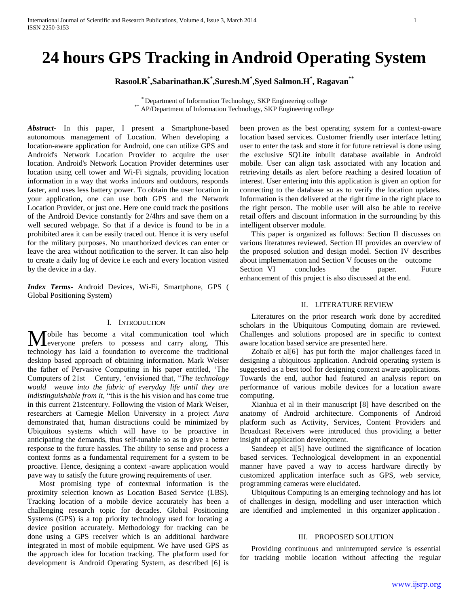# **24 hours GPS Tracking in Android Operating System**

**Rasool.R\* ,Sabarinathan.K\* ,Suresh.M\* ,Syed Salmon.H\* , Ragavan\*\***

\* Department of Information Technology, SKP Engineering college \*\* AP/Department of Information Technology, SKP Engineering college

*Abstract***-** In this paper, I present a Smartphone-based autonomous management of Location. When developing a location-aware application for Android, one can utilize GPS and Android's Network Location Provider to acquire the user location. Android's Network Location Provider determines user location using cell tower and Wi-Fi signals, providing location information in a way that works indoors and outdoors, responds faster, and uses less battery power. To obtain the user location in your application, one can use both GPS and the Network Location Provider, or just one. Here one could track the positions of the Android Device constantly for 2/4hrs and save them on a well secured webpage. So that if a device is found to be in a prohibited area it can be easily traced out. Hence it is very useful for the military purposes. No unauthorized devices can enter or leave the area without notification to the server. It can also help to create a daily log of device i.e each and every location visited by the device in a day.

*Index Terms*- Android Devices, Wi-Fi, Smartphone, GPS ( Global Positioning System)

#### I. INTRODUCTION

obile has become a vital communication tool which **Leveryone** prefers to possess and carry along. This **M** obile has become a vital communication tool which everyone prefers to possess and carry along. This technology has laid a foundation to overcome the traditional desktop based approach of obtaining information. Mark Weiser the father of Pervasive Computing in his paper entitled, 'The Computers of 21st Century, 'envisioned that, "*The technology would weave into the fabric of everyday life until they are indistinguishable from it,* "this is the his vision and has come true in this current 21stcentury. Following the vision of Mark Weiser, researchers at Carnegie Mellon University in a project *Aura*  demonstrated that, human distractions could be minimized by Ubiquitous systems which will have to be proactive in anticipating the demands, thus self-tunable so as to give a better response to the future hassles. The ability to sense and process a context forms as a fundamental requirement for a system to be proactive. Hence, designing a context -aware application would pave way to satisfy the future growing requirements of user.

 Most promising type of contextual information is the proximity selection known as Location Based Service (LBS). Tracking location of a mobile device accurately has been a challenging research topic for decades. Global Positioning Systems (GPS) is a top priority technology used for locating a device position accurately. Methodology for tracking can be done using a GPS receiver which is an additional hardware integrated in most of mobile equipment. We have used GPS as the approach idea for location tracking. The platform used for development is Android Operating System, as described [6] is

been proven as the best operating system for a context-aware location based services. Customer friendly user interface letting user to enter the task and store it for future retrieval is done using the exclusive SQLite inbuilt database available in Android mobile. User can align task associated with any location and retrieving details as alert before reaching a desired location of interest. User entering into this application is given an option for connecting to the database so as to verify the location updates. Information is then delivered at the right time in the right place to the right person. The mobile user will also be able to receive retail offers and discount information in the surrounding by this intelligent observer module.

 This paper is organized as follows: Section II discusses on various literatures reviewed. Section III provides an overview of the proposed solution and design model. Section IV describes about implementation and Section V focuses on the outcome Section VI concludes the paper. Future enhancement of this project is also discussed at the end.

#### II. LITERATURE REVIEW

 Literatures on the prior research work done by accredited scholars in the Ubiquitous Computing domain are reviewed. Challenges and solutions proposed are in specific to context aware location based service are presented here.

 Zohaib et al[6] has put forth the major challenges faced in designing a ubiquitous application. Android operating system is suggested as a best tool for designing context aware applications. Towards the end, author had featured an analysis report on performance of various mobile devices for a location aware computing.

 Xianhua et al in their manuscript [8] have described on the anatomy of Android architecture. Components of Android platform such as Activity, Services, Content Providers and Broadcast Receivers were introduced thus providing a better insight of application development.

Sandeep et al<sup>[5]</sup> have outlined the significance of location based services. Technological development in an exponential manner have paved a way to access hardware directly by customized application interface such as GPS, web service, programming cameras were elucidated.

 Ubiquitous Computing is an emerging technology and has lot of challenges in design, modelling and user interaction which are identified and implemented in this organizer application .

#### III. PROPOSED SOLUTION

 Providing continuous and uninterrupted service is essential for tracking mobile location without affecting the regular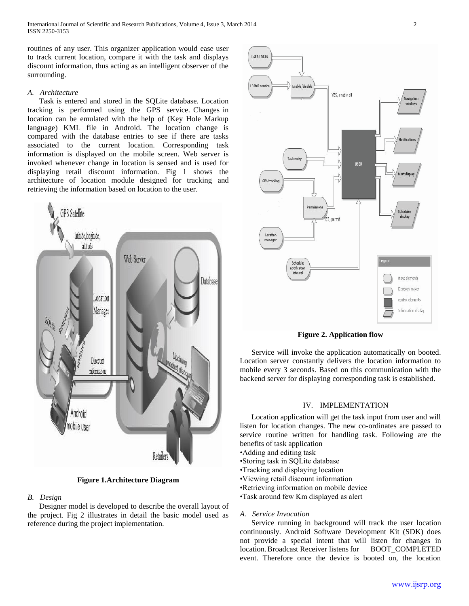International Journal of Scientific and Research Publications, Volume 4, Issue 3, March 2014 2 ISSN 2250-3153

routines of any user. This organizer application would ease user to track current location, compare it with the task and displays discount information, thus acting as an intelligent observer of the surrounding.

#### *A. Architecture*

 Task is entered and stored in the SQLite database. Location tracking is performed using the GPS service. Changes in location can be emulated with the help of (Key Hole Markup language) KML file in Android. The location change is compared with the database entries to see if there are tasks associated to the current location. Corresponding task information is displayed on the mobile screen. Web server is invoked whenever change in location is sensed and is used for displaying retail discount information. Fig 1 shows the architecture of location module designed for tracking and retrieving the information based on location to the user.



**Figure 1.Architecture Diagram**

# *B. Design*

 Designer model is developed to describe the overall layout of the project. Fig 2 illustrates in detail the basic model used as reference during the project implementation.



**Figure 2. Application flow**

 Service will invoke the application automatically on booted. Location server constantly delivers the location information to mobile every 3 seconds. Based on this communication with the backend server for displaying corresponding task is established.

#### IV. IMPLEMENTATION

 Location application will get the task input from user and will listen for location changes. The new co-ordinates are passed to service routine written for handling task. Following are the benefits of task application

- •Adding and editing task
- •Storing task in SQLite database
- •Tracking and displaying location
- •Viewing retail discount information
- •Retrieving information on mobile device
- •Task around few Km displayed as alert

#### *A. Service Invocation*

 Service running in background will track the user location continuously. Android Software Development Kit (SDK) does not provide a special intent that will listen for changes in location. Broadcast Receiver listens for BOOT\_COMPLETED event. Therefore once the device is booted on, the location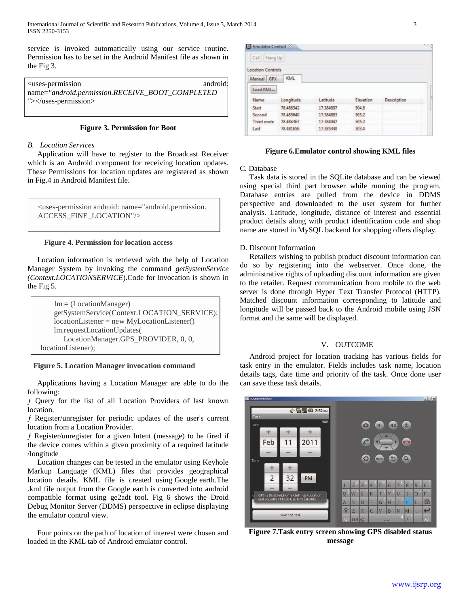service is invoked automatically using our service routine. Permission has to be set in the Android Manifest file as shown in the Fig 3.

<uses-permission android: name=*"android.permission.RECEIVE\_BOOT\_COMPLETED "*></uses-permission>

# **Figure 3***.* **Permission for Boot**

#### *B. Location Services*

 Application will have to register to the Broadcast Receiver which is an Android component for receiving location updates. These Permissions for location updates are registered as shown in Fig.4 in Android Manifest file.

<uses-permission android: name="android.permission. ACCESS\_FINE\_LOCATION"/>

#### **Figure 4. Permission for location access**

 Location information is retrieved with the help of Location Manager System by invoking the command *getSystemService (Context.LOCATIONSERVICE*).Code for invocation is shown in the Fig 5.

| $lm = (LocationManager)$                      |
|-----------------------------------------------|
| getSystemService(Context.LOCATION_SERVICE);   |
| $locationListener = new MyLocationListener()$ |
| lm.requestLocationUpdates(                    |
| LocationManager.GPS_PROVIDER, 0, 0,           |
| locationListener);                            |

# **Figure 5. Location Manager invocation command**

 Applications having a Location Manager are able to do the following:

ƒ Query for the list of all Location Providers of last known location.

ƒ Register/unregister for periodic updates of the user's current location from a Location Provider.

ƒ Register/unregister for a given Intent (message) to be fired if the device comes within a given proximity of a required latitude /longitude

 Location changes can be tested in the emulator using Keyhole Markup Language (KML) files that provides geographical location details. KML file is created using Google earth.The .kml file output from the Google earth is converted into android compatible format using ge2adt tool. Fig 6 shows the Droid Debug Monitor Server (DDMS) perspective in eclipse displaying the emulator control view.

 Four points on the path of location of interest were chosen and loaded in the KML tab of Android emulator control.

| El Emulator Control 23   |            |           |           |             | land P |
|--------------------------|------------|-----------|-----------|-------------|--------|
| Call<br>Hang Up          |            |           |           |             |        |
| <b>Location Controls</b> |            |           |           |             |        |
| Manual GPX               | <b>KML</b> |           |           |             |        |
| Load KML                 |            |           |           |             |        |
| Name                     | Longitude  | Latitude  | Elevation | Description |        |
| Start                    | 78,486342  | 17,384897 | 504.6     |             |        |
| Second                   | 78.485640  | 17.384883 | 505.2     |             |        |
| Third route              | 78.484367  | 17.384947 | 505.2     |             |        |
| Last                     | 78,481656  | 17,385340 | 503.4     |             |        |
|                          |            |           |           |             |        |

#### **Figure 6.Emulator control showing KML files**

# C. Database

 Task data is stored in the SQLite database and can be viewed using special third part browser while running the program. Database entries are pulled from the device in DDMS perspective and downloaded to the user system for further analysis. Latitude, longitude, distance of interest and essential product details along with product identification code and shop name are stored in MySQL backend for shopping offers display.

#### D. Discount Information

 Retailers wishing to publish product discount information can do so by registering into the webserver. Once done, the administrative rights of uploading discount information are given to the retailer. Request communication from mobile to the web server is done through Hyper Text Transfer Protocol (HTTP). Matched discount information corresponding to latitude and longitude will be passed back to the Android mobile using JSN format and the same will be displayed.

#### V. OUTCOME

 Android project for location tracking has various fields for task entry in the emulator. Fields includes task name, location details tags, date time and priority of the task. Once done user can save these task details.



**Figure 7.Task entry screen showing GPS disabled status message**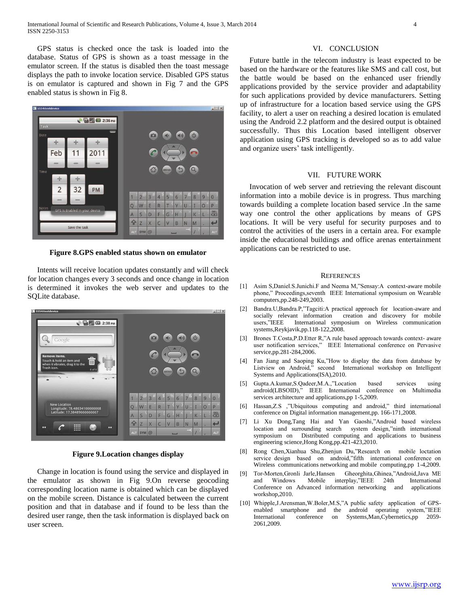GPS status is checked once the task is loaded into the database. Status of GPS is shown as a toast message in the emulator screen. If the status is disabled then the toast message displays the path to invoke location service. Disabled GPS status is on emulator is captured and shown in Fig 7 and the GPS enabled status is shown in Fig 8.



**Figure 8.GPS enabled status shown on emulator**

 Intents will receive location updates constantly and will check for location changes every 3 seconds and once change in location is determined it invokes the web server and updates to the SQLite database.



**Figure 9.Location changes display**

 Change in location is found using the service and displayed in the emulator as shown in Fig 9.On reverse geocoding corresponding location name is obtained which can be displayed on the mobile screen. Distance is calculated between the current position and that in database and if found to be less than the desired user range, then the task information is displayed back on user screen.

#### VI. CONCLUSION

 Future battle in the telecom industry is least expected to be based on the hardware or the features like SMS and call cost, but the battle would be based on the enhanced user friendly applications provided by the service provider and adaptability for such applications provided by device manufacturers. Setting up of infrastructure for a location based service using the GPS facility, to alert a user on reaching a desired location is emulated using the Android 2.2 platform and the desired output is obtained successfully. Thus this Location based intelligent observer application using GPS tracking is developed so as to add value and organize users' task intelligently.

# VII. FUTURE WORK

 Invocation of web server and retrieving the relevant discount information into a mobile device is in progress. Thus marching towards building a complete location based service .In the same way one control the other applications by means of GPS locations. It will be very useful for security purposes and to control the activities of the users in a certain area. For example inside the educational buildings and office arenas entertainment applications can be restricted to use.

#### **REFERENCES**

- [1] Asim S,Daniel.S.Junichi.F and Neema M,"Sensay:A context-aware mobile phone," Proceedings,seventh IEEE International symposium on Wearable computers,pp.248-249,2003.
- [2] Bandra.U,Bandra.P,"Tagciti:A practical approach for location-aware and socially relevant information creation and discovery for mobile users,"IEEE International symposium on Wireless communication systems,Reykjavik,pp.118-122,2008.
- [3] Brones T.Costa,P.D.Etter R,"A rule based approach towards context- aware user notification services," IEEE International conference on Pervasive service,pp.281-284,2006.
- [4] Fan Jiang and Saoping Ku,"How to display the data from database by Listview on Android," second International workshop on Intelligent Systems and Applications(ISA),2010.
- [5] Gupta.A.kumar,S.Qadeer,M.A.,"Location based services using android(LBSOID)," IEEE International conference on Multimedia services architecture and applications,pp 1-5,2009.
- [6] Hassan,Z.S ,"Ubiquitous computing and android," third international conference on Digital information management,pp. 166-171,2008.
- [7] Li Xu Dong,Tang Hai and Yan Gaoshi,"Android based wireless location and surrounding search system design,"ninth international symposium on Distributed computing and applications to business engineering science,Hong Kong,pp.421-423,2010.
- [8] Rong Chen,Xianhua Shu,Zhenjun Du,"Research on mobile loctation service design based on android,"fifth international conference on Wireless communications networking and mobile computing,pp 1-4,2009.
- [9] Tor-Morten,Gronli Jarle,Hansen Gheorghita,Ghinea,"Android,Java ME and Windows Mobile interplay,"IEEE 24th International Conference on Advanced information networking and applications workshop,2010.
- [10] Whipple, J. Arensman, W. Boler, M. S,"A public safety application of GPSenabled smartphone and the android operating system,"IEEE International conference on Systems,Man,Cybernetics,pp 2059- 2061,2009.